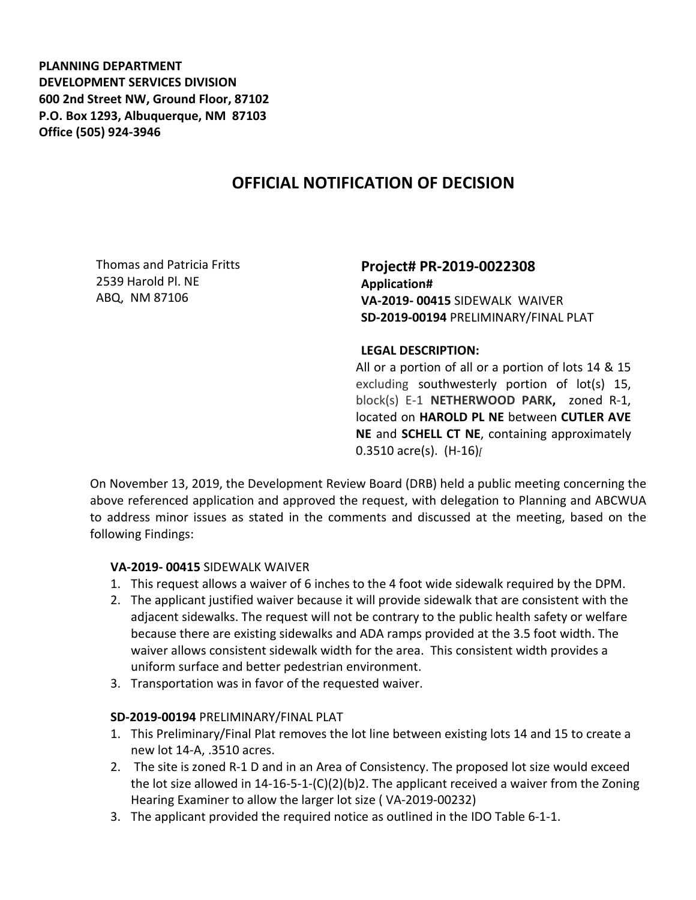**PLANNING DEPARTMENT DEVELOPMENT SERVICES DIVISION 600 2nd Street NW, Ground Floor, 87102 P.O. Box 1293, Albuquerque, NM 87103 Office (505) 924-3946** 

## **OFFICIAL NOTIFICATION OF DECISION**

Thomas and Patricia Fritts 2539 Harold Pl. NE ABQ, NM 87106

**Project# PR-2019-0022308 Application# VA-2019- 00415** SIDEWALK WAIVER **SD-2019-00194** PRELIMINARY/FINAL PLAT

## **LEGAL DESCRIPTION:**

All or a portion of all or a portion of lots 14 & 15 excluding southwesterly portion of lot(s) 15, block(s) E-1 **NETHERWOOD PARK,** zoned R-1, located on **HAROLD PL NE** between **CUTLER AVE NE** and **SCHELL CT NE**, containing approximately 0.3510 acre(s). (H-16)*[*

On November 13, 2019, the Development Review Board (DRB) held a public meeting concerning the above referenced application and approved the request, with delegation to Planning and ABCWUA to address minor issues as stated in the comments and discussed at the meeting, based on the following Findings:

## **VA-2019- 00415** SIDEWALK WAIVER

- 1. This request allows a waiver of 6 inches to the 4 foot wide sidewalk required by the DPM.
- 2. The applicant justified waiver because it will provide sidewalk that are consistent with the adjacent sidewalks. The request will not be contrary to the public health safety or welfare because there are existing sidewalks and ADA ramps provided at the 3.5 foot width. The waiver allows consistent sidewalk width for the area. This consistent width provides a uniform surface and better pedestrian environment.
- 3. Transportation was in favor of the requested waiver.

## **SD-2019-00194** PRELIMINARY/FINAL PLAT

- 1. This Preliminary/Final Plat removes the lot line between existing lots 14 and 15 to create a new lot 14-A, .3510 acres.
- 2. The site is zoned R-1 D and in an Area of Consistency. The proposed lot size would exceed the lot size allowed in  $14-16-5-1-(C)(2)(b)$ . The applicant received a waiver from the Zoning Hearing Examiner to allow the larger lot size ( VA-2019-00232)
- 3. The applicant provided the required notice as outlined in the IDO Table 6-1-1.